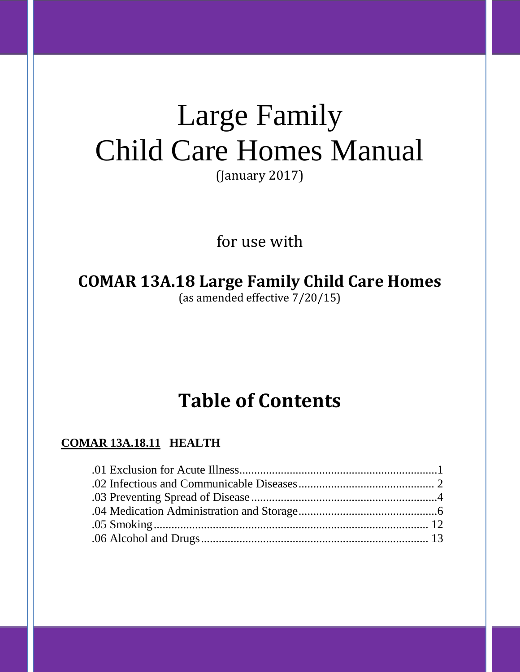# Large Family Child Care Homes Manual

(January 2017)

for use with

**COMAR 13A.18 Large Family Child Care Homes** (as amended effective 7/20/15)

# **Table of Contents**

# **COMAR 13A.18.11 HEALTH**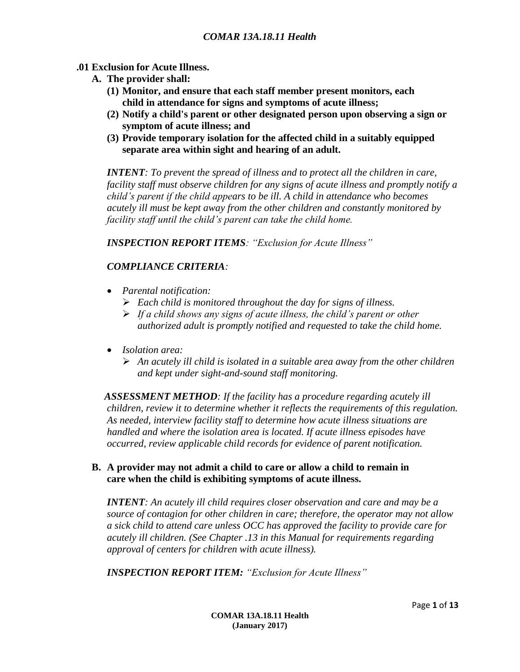#### **.01 Exclusion for Acute Illness.**

- **A. The provider shall:**
	- **(1) Monitor, and ensure that each staff member present monitors, each child in attendance for signs and symptoms of acute illness;**
	- **(2) Notify a child's parent or other designated person upon observing a sign or symptom of acute illness; and**
	- **(3) Provide temporary isolation for the affected child in a suitably equipped separate area within sight and hearing of an adult.**

*INTENT: To prevent the spread of illness and to protect all the children in care, facility staff must observe children for any signs of acute illness and promptly notify a child's parent if the child appears to be ill. A child in attendance who becomes acutely ill must be kept away from the other children and constantly monitored by facility staff until the child's parent can take the child home.*

*INSPECTION REPORT ITEMS: "Exclusion for Acute Illness"*

# *COMPLIANCE CRITERIA:*

- *Parental notification:*
	- *Each child is monitored throughout the day for signs of illness.*
	- *If a child shows any signs of acute illness, the child's parent or other authorized adult is promptly notified and requested to take the child home.*
- *Isolation area:*
	- *An acutely ill child is isolated in a suitable area away from the other children and kept under sight-and-sound staff monitoring.*

 *ASSESSMENT METHOD: If the facility has a procedure regarding acutely ill children, review it to determine whether it reflects the requirements of this regulation. As needed, interview facility staff to determine how acute illness situations are handled and where the isolation area is located. If acute illness episodes have occurred, review applicable child records for evidence of parent notification.*

#### **B. A provider may not admit a child to care or allow a child to remain in care when the child is exhibiting symptoms of acute illness.**

*INTENT: An acutely ill child requires closer observation and care and may be a source of contagion for other children in care; therefore, the operator may not allow a sick child to attend care unless OCC has approved the facility to provide care for acutely ill children. (See Chapter .13 in this Manual for requirements regarding approval of centers for children with acute illness).*

*INSPECTION REPORT ITEM: "Exclusion for Acute Illness"*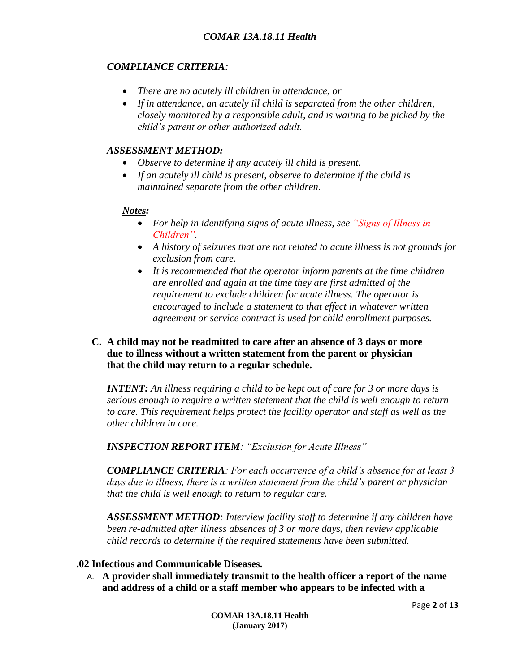#### *COMPLIANCE CRITERIA:*

- *There are no acutely ill children in attendance, or*
- *If in attendance, an acutely ill child is separated from the other children, closely monitored by a responsible adult, and is waiting to be picked by the child's parent or other authorized adult.*

### *ASSESSMENT METHOD:*

- *Observe to determine if any acutely ill child is present.*
- *If an acutely ill child is present, observe to determine if the child is maintained separate from the other children.*

# *Notes:*

- *For help in identifying signs of acute illness, see "Signs of Illness in Children".*
- *A history of seizures that are not related to acute illness is not grounds for exclusion from care.*
- *It is recommended that the operator inform parents at the time children are enrolled and again at the time they are first admitted of the requirement to exclude children for acute illness. The operator is encouraged to include a statement to that effect in whatever written agreement or service contract is used for child enrollment purposes.*

#### **C. A child may not be readmitted to care after an absence of 3 days or more due to illness without a written statement from the parent or physician that the child may return to a regular schedule.**

*INTENT: An illness requiring a child to be kept out of care for 3 or more days is serious enough to require a written statement that the child is well enough to return to care. This requirement helps protect the facility operator and staff as well as the other children in care.*

*INSPECTION REPORT ITEM: "Exclusion for Acute Illness"*

*COMPLIANCE CRITERIA: For each occurrence of a child's absence for at least 3 days due to illness, there is a written statement from the child's parent or physician that the child is well enough to return to regular care.*

*ASSESSMENT METHOD: Interview facility staff to determine if any children have been re-admitted after illness absences of 3 or more days, then review applicable child records to determine if the required statements have been submitted.*

#### **.02 Infectious and Communicable Diseases.**

A. **A provider shall immediately transmit to the health officer a report of the name and address of a child or a staff member who appears to be infected with a**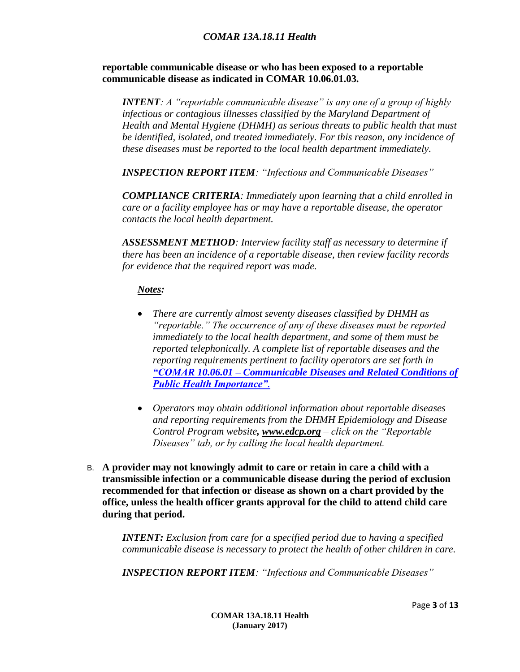#### *COMAR 13A.18.11 Health*

**reportable communicable disease or who has been exposed to a reportable communicable disease as indicated in COMAR 10.06.01.03.**

*INTENT: A "reportable communicable disease" is any one of a group of highly infectious or contagious illnesses classified by the Maryland Department of Health and Mental Hygiene (DHMH) as serious threats to public health that must be identified, isolated, and treated immediately. For this reason, any incidence of these diseases must be reported to the local health department immediately.* 

*INSPECTION REPORT ITEM: "Infectious and Communicable Diseases"*

*COMPLIANCE CRITERIA: Immediately upon learning that a child enrolled in care or a facility employee has or may have a reportable disease, the operator contacts the local health department.*

*ASSESSMENT METHOD: Interview facility staff as necessary to determine if there has been an incidence of a reportable disease, then review facility records for evidence that the required report was made.*

#### *Notes:*

- *There are currently almost seventy diseases classified by DHMH as "reportable." The occurrence of any of these diseases must be reported immediately to the local health department, and some of them must be reported telephonically. A complete list of reportable diseases and the reporting requirements pertinent to facility operators are set forth in "COMAR 10.06.01 – [Communicable Diseases and Related Conditions of](http://dhmh.maryland.gov/regs/Pages/10-06-01-Communicable-Diseases-and-Related-Conditions-of-Public-Health-Importance;-and-------------.aspx)  [Public Health Importance"](http://dhmh.maryland.gov/regs/Pages/10-06-01-Communicable-Diseases-and-Related-Conditions-of-Public-Health-Importance;-and-------------.aspx).*
- *Operators may obtain additional information about reportable diseases and reporting requirements from the DHMH Epidemiology and Disease Control Program website, [www.edcp.org](http://www.edcp.org/) – click on the "Reportable Diseases" tab, or by calling the local health department.*
- B. **A provider may not knowingly admit to care or retain in care a child with a transmissible infection or a communicable disease during the period of exclusion recommended for that infection or disease as shown on a chart provided by the office, unless the health officer grants approval for the child to attend child care during that period.**

*INTENT: Exclusion from care for a specified period due to having a specified communicable disease is necessary to protect the health of other children in care.* 

*INSPECTION REPORT ITEM: "Infectious and Communicable Diseases"*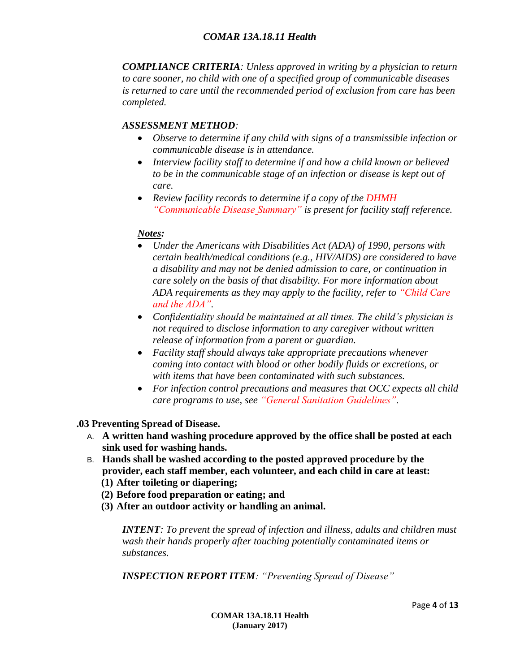*COMPLIANCE CRITERIA: Unless approved in writing by a physician to return to care sooner, no child with one of a specified group of communicable diseases is returned to care until the recommended period of exclusion from care has been completed.*

# *ASSESSMENT METHOD:*

- *Observe to determine if any child with signs of a transmissible infection or communicable disease is in attendance.*
- *Interview facility staff to determine if and how a child known or believed to be in the communicable stage of an infection or disease is kept out of care.*
- *Review facility records to determine if a copy of the DHMH "Communicable Disease Summary" is present for facility staff reference.*

#### *Notes:*

- *Under the Americans with Disabilities Act (ADA) of 1990, persons with certain health/medical conditions (e.g., HIV/AIDS) are considered to have a disability and may not be denied admission to care, or continuation in care solely on the basis of that disability. For more information about ADA requirements as they may apply to the facility, refer to "Child Care and the ADA".*
- *Confidentiality should be maintained at all times. The child's physician is not required to disclose information to any caregiver without written release of information from a parent or guardian.*
- *Facility staff should always take appropriate precautions whenever coming into contact with blood or other bodily fluids or excretions, or with items that have been contaminated with such substances.*
- *For infection control precautions and measures that OCC expects all child care programs to use, see "General Sanitation Guidelines".*

**.03 Preventing Spread of Disease.**

- A. **A written hand washing procedure approved by the office shall be posted at each sink used for washing hands.**
- B. **Hands shall be washed according to the posted approved procedure by the provider, each staff member, each volunteer, and each child in care at least:**
	- **(1) After toileting or diapering;**
	- **(2) Before food preparation or eating; and**
	- **(3) After an outdoor activity or handling an animal.**

*INTENT: To prevent the spread of infection and illness, adults and children must wash their hands properly after touching potentially contaminated items or substances.*

*INSPECTION REPORT ITEM: "Preventing Spread of Disease"*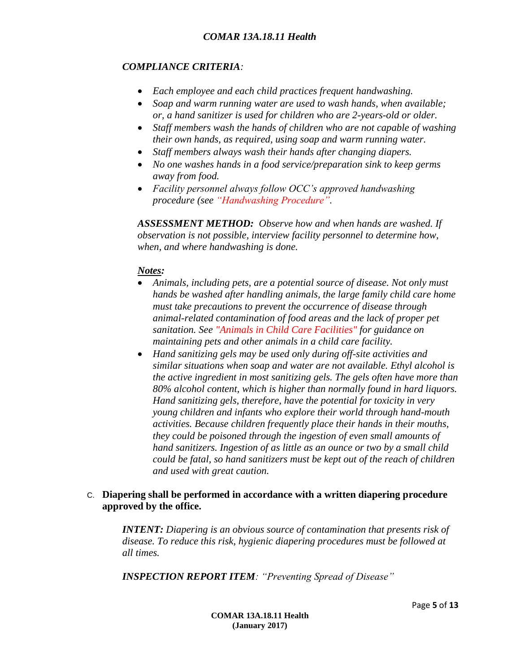### *COMPLIANCE CRITERIA:*

- *Each employee and each child practices frequent handwashing.*
- *Soap and warm running water are used to wash hands, when available; or, a hand sanitizer is used for children who are 2-years-old or older.*
- *Staff members wash the hands of children who are not capable of washing their own hands, as required, using soap and warm running water.*
- *Staff members always wash their hands after changing diapers.*
- *No one washes hands in a food service/preparation sink to keep germs away from food.*
- *Facility personnel always follow OCC's approved handwashing procedure (see "Handwashing Procedure".*

*ASSESSMENT METHOD: Observe how and when hands are washed. If observation is not possible, interview facility personnel to determine how, when, and where handwashing is done.*

# *Notes:*

- *Animals, including pets, are a potential source of disease. Not only must hands be washed after handling animals, the large family child care home must take precautions to prevent the occurrence of disease through animal-related contamination of food areas and the lack of proper pet sanitation. See "Animals in Child Care Facilities" for guidance on maintaining pets and other animals in a child care facility.*
- *Hand sanitizing gels may be used only during off-site activities and similar situations when soap and water are not available. Ethyl alcohol is the active ingredient in most sanitizing gels. The gels often have more than 80% alcohol content, which is higher than normally found in hard liquors. Hand sanitizing gels, therefore, have the potential for toxicity in very young children and infants who explore their world through hand-mouth activities. Because children frequently place their hands in their mouths, they could be poisoned through the ingestion of even small amounts of hand sanitizers. Ingestion of as little as an ounce or two by a small child could be fatal, so hand sanitizers must be kept out of the reach of children and used with great caution.*

# C. **Diapering shall be performed in accordance with a written diapering procedure approved by the office.**

*INTENT: Diapering is an obvious source of contamination that presents risk of disease. To reduce this risk, hygienic diapering procedures must be followed at all times.*

*INSPECTION REPORT ITEM: "Preventing Spread of Disease"*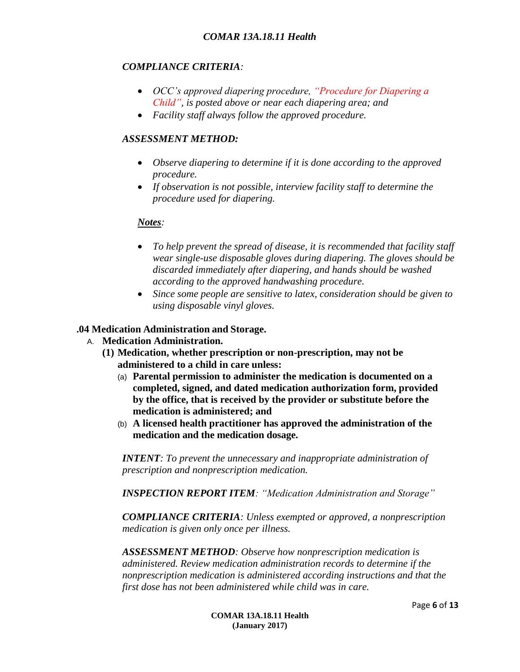#### *COMPLIANCE CRITERIA:*

- *OCC's approved diapering procedure, "Procedure for Diapering a Child", is posted above or near each diapering area; and*
- *Facility staff always follow the approved procedure.*

#### *ASSESSMENT METHOD:*

- *Observe diapering to determine if it is done according to the approved procedure.*
- *If observation is not possible, interview facility staff to determine the procedure used for diapering.*

#### *Notes:*

- *To help prevent the spread of disease, it is recommended that facility staff wear single-use disposable gloves during diapering. The gloves should be discarded immediately after diapering, and hands should be washed according to the approved handwashing procedure.*
- *Since some people are sensitive to latex, consideration should be given to using disposable vinyl gloves.*

#### **.04 Medication Administration and Storage.**

- A. **Medication Administration.**
	- **(1) Medication, whether prescription or non-prescription, may not be administered to a child in care unless:**
		- (a) **Parental permission to administer the medication is documented on a completed, signed, and dated medication authorization form, provided by the office, that is received by the provider or substitute before the medication is administered; and**
		- (b) **A licensed health practitioner has approved the administration of the medication and the medication dosage.**

*INTENT: To prevent the unnecessary and inappropriate administration of prescription and nonprescription medication.*

*INSPECTION REPORT ITEM: "Medication Administration and Storage"*

*COMPLIANCE CRITERIA: Unless exempted or approved, a nonprescription medication is given only once per illness.*

*ASSESSMENT METHOD: Observe how nonprescription medication is administered. Review medication administration records to determine if the nonprescription medication is administered according instructions and that the first dose has not been administered while child was in care.*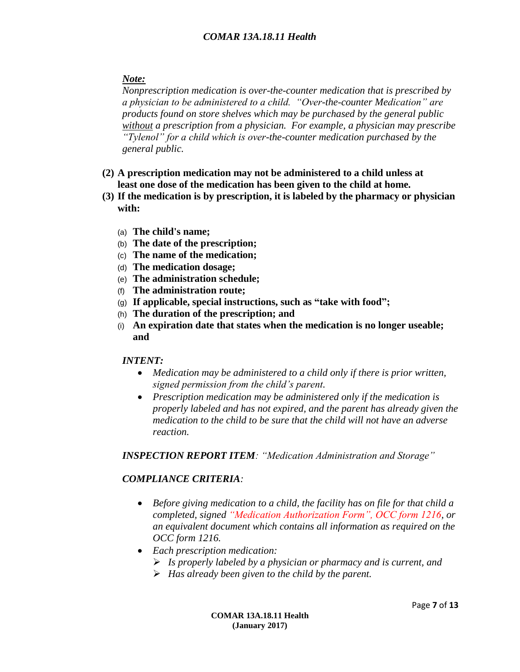# *Note:*

*Nonprescription medication is over-the-counter medication that is prescribed by a physician to be administered to a child. "Over-the-counter Medication" are products found on store shelves which may be purchased by the general public without a prescription from a physician. For example, a physician may prescribe "Tylenol" for a child which is over-the-counter medication purchased by the general public.*

- **(2) A prescription medication may not be administered to a child unless at least one dose of the medication has been given to the child at home.**
- **(3) If the medication is by prescription, it is labeled by the pharmacy or physician with:**
	- (a) **The child's name;**
	- (b) **The date of the prescription;**
	- (c) **The name of the medication;**
	- (d) **The medication dosage;**
	- (e) **The administration schedule;**
	- (f) **The administration route;**
	- (g) **If applicable, special instructions, such as "take with food";**
	- (h) **The duration of the prescription; and**
	- (i) **An expiration date that states when the medication is no longer useable; and**

# *INTENT:*

- *Medication may be administered to a child only if there is prior written, signed permission from the child's parent.*
- *Prescription medication may be administered only if the medication is properly labeled and has not expired, and the parent has already given the medication to the child to be sure that the child will not have an adverse reaction.*

*INSPECTION REPORT ITEM: "Medication Administration and Storage"*

# *COMPLIANCE CRITERIA:*

- *Before giving medication to a child, the facility has on file for that child a completed, signed "Medication Authorization Form", OCC form 1216, or an equivalent document which contains all information as required on the OCC form 1216.*
- *Each prescription medication:*
	- *Is properly labeled by a physician or pharmacy and is current, and*
	- *Has already been given to the child by the parent.*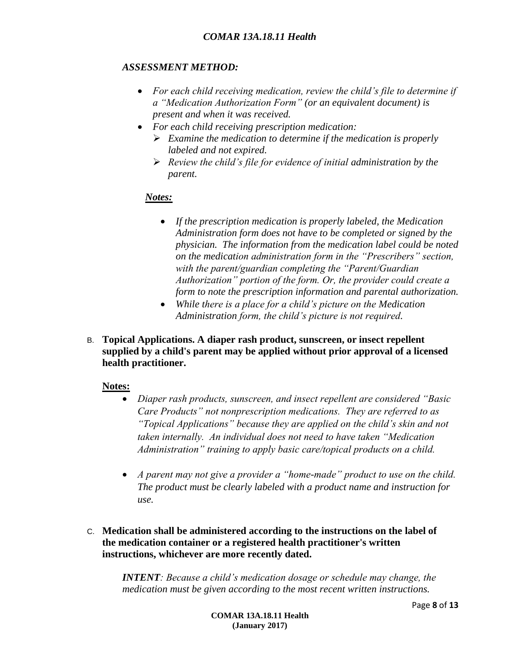# *ASSESSMENT METHOD:*

- *For each child receiving medication, review the child's file to determine if a "Medication Authorization Form" (or an equivalent document) is present and when it was received.*
- *For each child receiving prescription medication:*
	- *Examine the medication to determine if the medication is properly labeled and not expired.*
	- *Review the child's file for evidence of initial administration by the parent.*

#### *Notes:*

- *If the prescription medication is properly labeled, the Medication Administration form does not have to be completed or signed by the physician. The information from the medication label could be noted on the medication administration form in the "Prescribers" section, with the parent/guardian completing the "Parent/Guardian Authorization" portion of the form. Or, the provider could create a form to note the prescription information and parental authorization.*
- *While there is a place for a child's picture on the Medication Administration form, the child's picture is not required.*
- B. **Topical Applications. A diaper rash product, sunscreen, or insect repellent supplied by a child's parent may be applied without prior approval of a licensed health practitioner.**

#### **Notes:**

- *Diaper rash products, sunscreen, and insect repellent are considered "Basic Care Products" not nonprescription medications. They are referred to as "Topical Applications" because they are applied on the child's skin and not taken internally. An individual does not need to have taken "Medication Administration" training to apply basic care/topical products on a child.*
- *A parent may not give a provider a "home-made" product to use on the child. The product must be clearly labeled with a product name and instruction for use.*
- C. **Medication shall be administered according to the instructions on the label of the medication container or a registered health practitioner's written instructions, whichever are more recently dated.**

*INTENT: Because a child's medication dosage or schedule may change, the medication must be given according to the most recent written instructions.*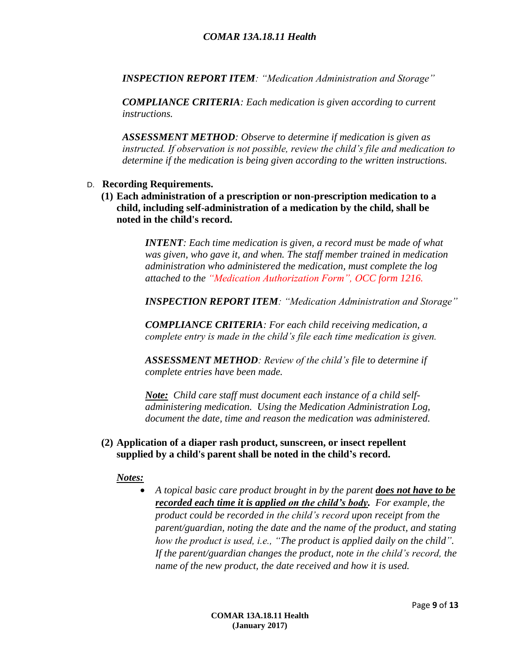*INSPECTION REPORT ITEM: "Medication Administration and Storage"*

*COMPLIANCE CRITERIA: Each medication is given according to current instructions.*

*ASSESSMENT METHOD: Observe to determine if medication is given as instructed. If observation is not possible, review the child's file and medication to determine if the medication is being given according to the written instructions.*

#### D. **Recording Requirements.**

**(1) Each administration of a prescription or non-prescription medication to a child, including self-administration of a medication by the child, shall be noted in the child's record.**

> *INTENT: Each time medication is given, a record must be made of what was given, who gave it, and when. The staff member trained in medication administration who administered the medication, must complete the log attached to the "Medication Authorization Form", OCC form 1216.*

*INSPECTION REPORT ITEM: "Medication Administration and Storage"*

*COMPLIANCE CRITERIA: For each child receiving medication, a complete entry is made in the child's file each time medication is given.*

*ASSESSMENT METHOD: Review of the child's file to determine if complete entries have been made.*

*Note: Child care staff must document each instance of a child selfadministering medication. Using the Medication Administration Log, document the date, time and reason the medication was administered.*

#### **(2) Application of a diaper rash product, sunscreen, or insect repellent supplied by a child's parent shall be noted in the child's record.**

*Notes:*

 *A topical basic care product brought in by the parent does not have to be recorded each time it is applied on the child's body. For example, the product could be recorded in the child's record upon receipt from the parent/guardian, noting the date and the name of the product, and stating how the product is used, i.e., "The product is applied daily on the child". If the parent/guardian changes the product, note in the child's record, the name of the new product, the date received and how it is used.*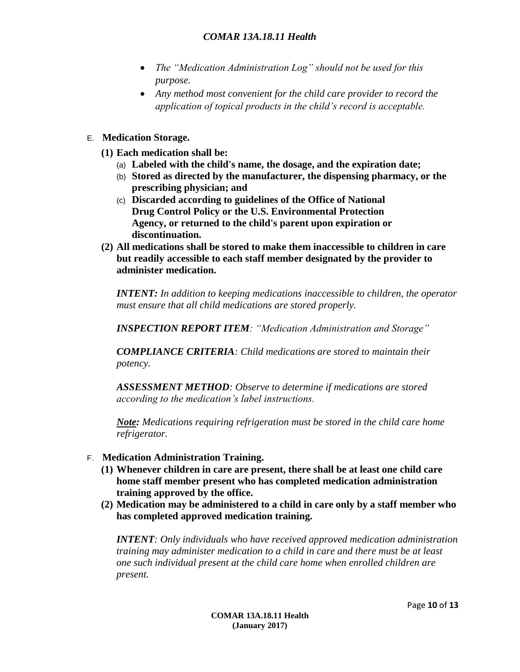- *The "Medication Administration Log" should not be used for this purpose.*
- *Any method most convenient for the child care provider to record the application of topical products in the child's record is acceptable.*
- E. **Medication Storage.**
	- **(1) Each medication shall be:**
		- (a) **Labeled with the child's name, the dosage, and the expiration date;**
		- (b) **Stored as directed by the manufacturer, the dispensing pharmacy, or the prescribing physician; and**
		- (c) **Discarded according to guidelines of the Office of National Drug Control Policy or the U.S. Environmental Protection Agency, or returned to the child's parent upon expiration or discontinuation.**
	- **(2) All medications shall be stored to make them inaccessible to children in care but readily accessible to each staff member designated by the provider to administer medication.**

*INTENT: In addition to keeping medications inaccessible to children, the operator must ensure that all child medications are stored properly.*

*INSPECTION REPORT ITEM: "Medication Administration and Storage"*

*COMPLIANCE CRITERIA: Child medications are stored to maintain their potency.*

*ASSESSMENT METHOD: Observe to determine if medications are stored according to the medication's label instructions.* 

*Note: Medications requiring refrigeration must be stored in the child care home refrigerator.*

- F. **Medication Administration Training.**
	- **(1) Whenever children in care are present, there shall be at least one child care home staff member present who has completed medication administration training approved by the office.**
	- **(2) Medication may be administered to a child in care only by a staff member who has completed approved medication training.**

*INTENT: Only individuals who have received approved medication administration training may administer medication to a child in care and there must be at least one such individual present at the child care home when enrolled children are present.*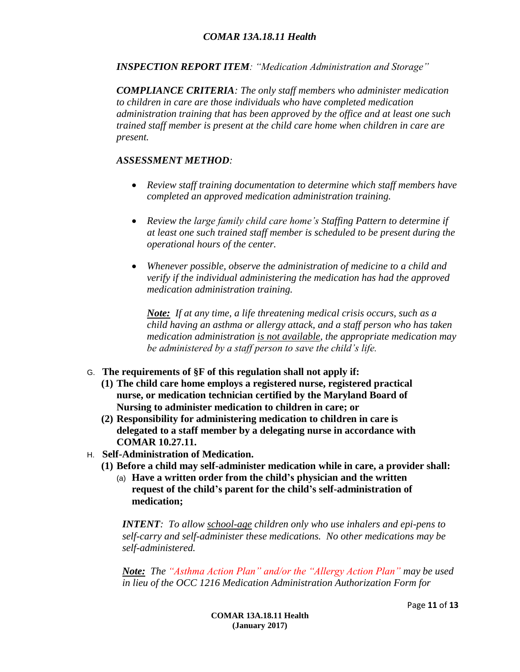*INSPECTION REPORT ITEM: "Medication Administration and Storage"*

*COMPLIANCE CRITERIA: The only staff members who administer medication to children in care are those individuals who have completed medication administration training that has been approved by the office and at least one such trained staff member is present at the child care home when children in care are present.*

### *ASSESSMENT METHOD:*

- *Review staff training documentation to determine which staff members have completed an approved medication administration training.*
- *Review the large family child care home's Staffing Pattern to determine if at least one such trained staff member is scheduled to be present during the operational hours of the center.*
- *Whenever possible, observe the administration of medicine to a child and verify if the individual administering the medication has had the approved medication administration training.*

*Note: If at any time, a life threatening medical crisis occurs, such as a child having an asthma or allergy attack, and a staff person who has taken medication administration is not available, the appropriate medication may be administered by a staff person to save the child's life.*

- G. **The requirements of §F of this regulation shall not apply if:**
	- **(1) The child care home employs a registered nurse, registered practical nurse, or medication technician certified by the Maryland Board of Nursing to administer medication to children in care; or**
	- **(2) Responsibility for administering medication to children in care is delegated to a staff member by a delegating nurse in accordance with COMAR 10.27.11.**
- H. **Self-Administration of Medication.**
	- **(1) Before a child may self-administer medication while in care, a provider shall:**
		- (a) **Have a written order from the child's physician and the written request of the child's parent for the child's self-administration of medication;**

*INTENT: To allow school-age children only who use inhalers and epi-pens to self-carry and self-administer these medications. No other medications may be self-administered.*

*Note: The "Asthma Action Plan" and/or the "Allergy Action Plan" may be used in lieu of the OCC 1216 Medication Administration Authorization Form for*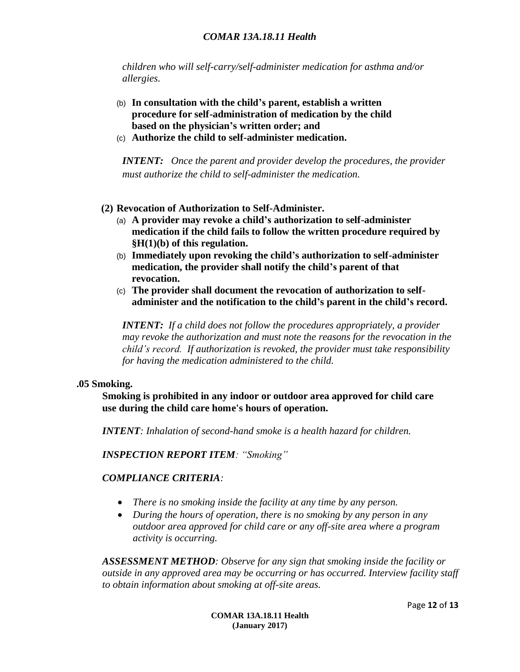#### *COMAR 13A.18.11 Health*

*children who will self-carry/self-administer medication for asthma and/or allergies.*

- (b) **In consultation with the child's parent, establish a written procedure for self-administration of medication by the child based on the physician's written order; and**
- (c) **Authorize the child to self-administer medication.**

*INTENT: Once the parent and provider develop the procedures, the provider must authorize the child to self-administer the medication.*

- **(2) Revocation of Authorization to Self-Administer.**
	- (a) **A provider may revoke a child's authorization to self-administer medication if the child fails to follow the written procedure required by §H(1)(b) of this regulation.**
	- (b) **Immediately upon revoking the child's authorization to self-administer medication, the provider shall notify the child's parent of that revocation.**
	- (c) **The provider shall document the revocation of authorization to selfadminister and the notification to the child's parent in the child's record.**

*INTENT: If a child does not follow the procedures appropriately, a provider may revoke the authorization and must note the reasons for the revocation in the child's record. If authorization is revoked, the provider must take responsibility for having the medication administered to the child.*

#### **.05 Smoking.**

**Smoking is prohibited in any indoor or outdoor area approved for child care use during the child care home's hours of operation.**

*INTENT: Inhalation of second-hand smoke is a health hazard for children.* 

*INSPECTION REPORT ITEM: "Smoking"*

#### *COMPLIANCE CRITERIA:*

- *There is no smoking inside the facility at any time by any person.*
- *During the hours of operation, there is no smoking by any person in any outdoor area approved for child care or any off-site area where a program activity is occurring.*

*ASSESSMENT METHOD: Observe for any sign that smoking inside the facility or outside in any approved area may be occurring or has occurred. Interview facility staff to obtain information about smoking at off-site areas.*